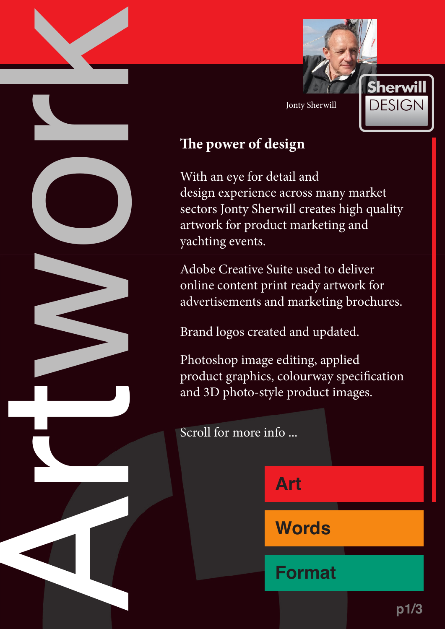<span id="page-0-0"></span>



## **The power of design**

With an eye for detail and design experience across many market sectors Jonty Sherwill creates high quality artwork for product marketing and yachting events.

Adobe Creative Suite used to deliver online content print ready artwork for advertisements and marketing brochures.

Brand logos created and updated.

Photoshop image editing, applied product graphics, colourway specification and 3D photo-style product images.

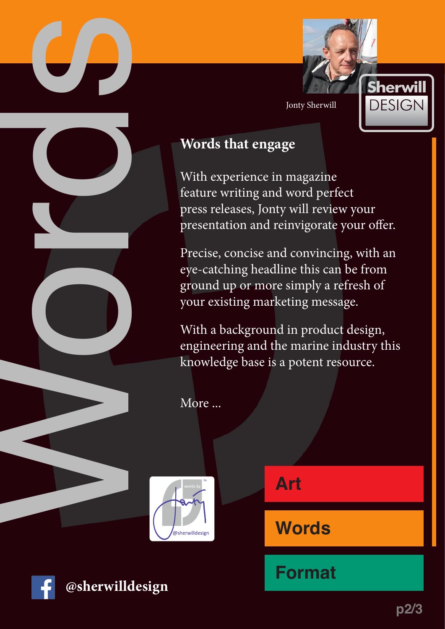<span id="page-1-0"></span>





With experience in magazine feature writing and word perfect press releases, Jonty will review your presentation and reinvigorate your offer.

Precise, concise and convincing, with an eye-catching headline this can be from ground up or more simply a refresh of your existing marketing message.

With a background in product design, engineering and the marine industry this knowledge base is a potent resource.

More ...





**[@sherwilldesign](https://www.facebook.com/sherwilldesign)**

**[Art](#page-0-0)**

**Words**

**[Format](#page-2-0)**